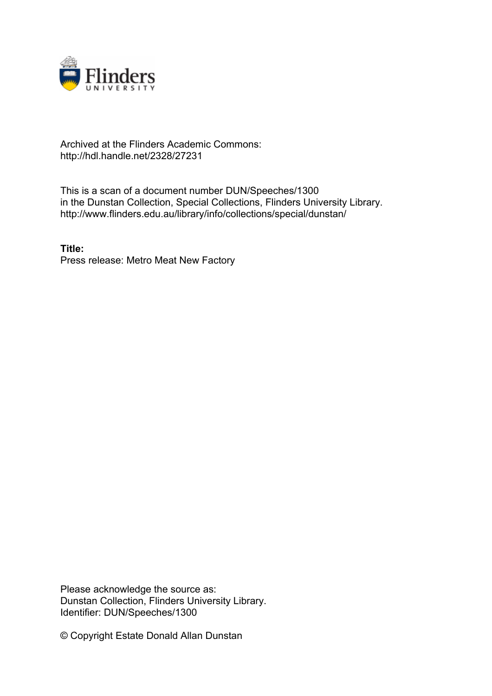

## Archived at the Flinders Academic Commons: http://hdl.handle.net/2328/27231

This is a scan of a document number DUN/Speeches/1300 in the Dunstan Collection, Special Collections, Flinders University Library. http://www.flinders.edu.au/library/info/collections/special/dunstan/

**Title:** Press release: Metro Meat New Factory

Please acknowledge the source as: Dunstan Collection, Flinders University Library. Identifier: DUN/Speeches/1300

© Copyright Estate Donald Allan Dunstan